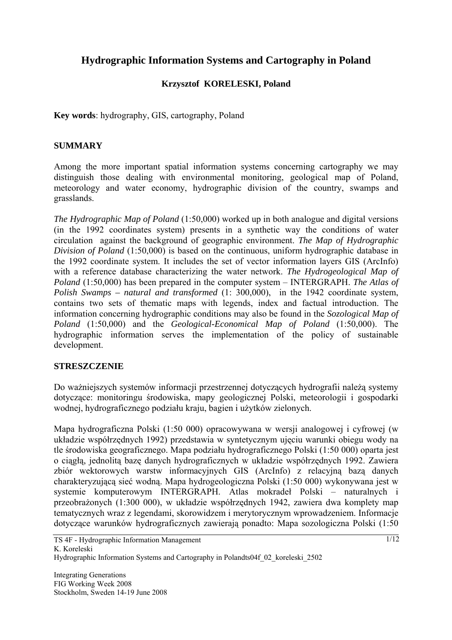# **Hydrographic Information Systems and Cartography in Poland**

## **Krzysztof KORELESKI, Poland**

**Key words**: hydrography, GIS, cartography, Poland

#### **SUMMARY**

Among the more important spatial information systems concerning cartography we may distinguish those dealing with environmental monitoring, geological map of Poland, meteorology and water economy, hydrographic division of the country, swamps and grasslands.

*The Hydrographic Map of Poland* (1:50,000) worked up in both analogue and digital versions (in the 1992 coordinates system) presents in a synthetic way the conditions of water circulation against the background of geographic environment. *The Map of Hydrographic Division of Poland* (1:50,000) is based on the continuous, uniform hydrographic database in the 1992 coordinate system. It includes the set of vector information layers GIS (ArcInfo) with a reference database characterizing the water network. *The Hydrogeological Map of Poland* (1:50,000) has been prepared in the computer system – INTERGRAPH. *The Atlas of Polish Swamps – natural and transformed* (1: 300,000), in the 1942 coordinate system, contains two sets of thematic maps with legends, index and factual introduction. The information concerning hydrographic conditions may also be found in the *Sozological Map of Poland* (1:50,000) and the *Geological-Economical Map of Poland* (1:50,000). The hydrographic information serves the implementation of the policy of sustainable development.

#### **STRESZCZENIE**

Do ważniejszych systemów informacji przestrzennej dotyczących hydrografii należą systemy dotyczące: monitoringu środowiska, mapy geologicznej Polski, meteorologii i gospodarki wodnej, hydrograficznego podziału kraju, bagien i użytków zielonych.

Mapa hydrograficzna Polski (1:50 000) opracowywana w wersji analogowej i cyfrowej (w układzie współrzędnych 1992) przedstawia w syntetycznym ujęciu warunki obiegu wody na tle środowiska geograficznego. Mapa podziału hydrograficznego Polski (1:50 000) oparta jest o ciągłą, jednolitą bazę danych hydrograficznych w układzie współrzędnych 1992. Zawiera zbiór wektorowych warstw informacyjnych GIS (ArcInfo) z relacyjną bazą danych charakteryzującą sieć wodną. Mapa hydrogeologiczna Polski (1:50 000) wykonywana jest w systemie komputerowym INTERGRAPH. Atlas mokradeł Polski – naturalnych i przeobrażonych (1:300 000), w układzie współrzędnych 1942, zawiera dwa komplety map tematycznych wraz z legendami, skorowidzem i merytorycznym wprowadzeniem. Informacje dotyczące warunków hydrograficznych zawierają ponadto: Mapa sozologiczna Polski (1:50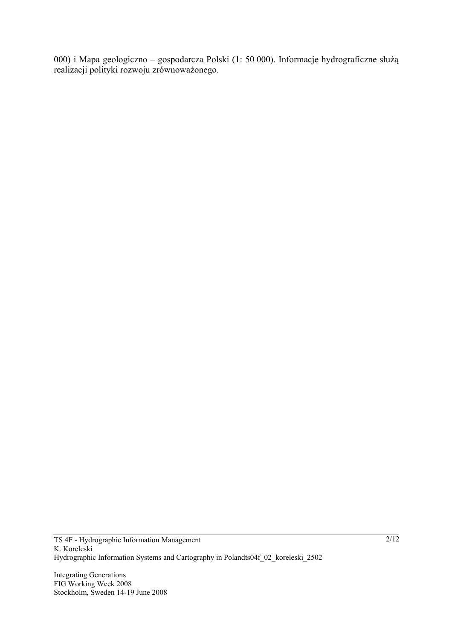000) i Mapa geologiczno – gospodarcza Polski (1: 50 000). Informacje hydrograficzne służą realizacji polityki rozwoju zrównoważonego.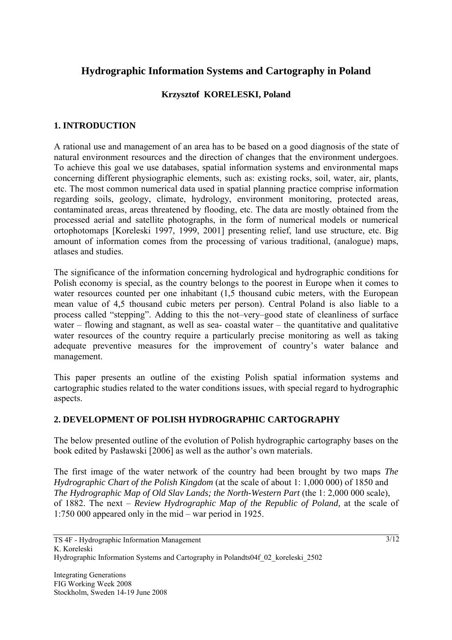## **Hydrographic Information Systems and Cartography in Poland**

### **Krzysztof KORELESKI, Poland**

### **1. INTRODUCTION**

A rational use and management of an area has to be based on a good diagnosis of the state of natural environment resources and the direction of changes that the environment undergoes. To achieve this goal we use databases, spatial information systems and environmental maps concerning different physiographic elements, such as: existing rocks, soil, water, air, plants, etc. The most common numerical data used in spatial planning practice comprise information regarding soils, geology, climate, hydrology, environment monitoring, protected areas, contaminated areas, areas threatened by flooding, etc. The data are mostly obtained from the processed aerial and satellite photographs, in the form of numerical models or numerical ortophotomaps [Koreleski 1997, 1999, 2001] presenting relief, land use structure, etc. Big amount of information comes from the processing of various traditional, (analogue) maps, atlases and studies.

The significance of the information concerning hydrological and hydrographic conditions for Polish economy is special, as the country belongs to the poorest in Europe when it comes to water resources counted per one inhabitant (1,5 thousand cubic meters, with the European mean value of 4,5 thousand cubic meters per person). Central Poland is also liable to a process called "stepping". Adding to this the not–very–good state of cleanliness of surface water – flowing and stagnant, as well as sea- coastal water – the quantitative and qualitative water resources of the country require a particularly precise monitoring as well as taking adequate preventive measures for the improvement of country's water balance and management.

This paper presents an outline of the existing Polish spatial information systems and cartographic studies related to the water conditions issues, with special regard to hydrographic aspects.

#### **2. DEVELOPMENT OF POLISH HYDROGRAPHIC CARTOGRAPHY**

The below presented outline of the evolution of Polish hydrographic cartography bases on the book edited by Pasławski [2006] as well as the author's own materials.

The first image of the water network of the country had been brought by two maps *The Hydrographic Chart of the Polish Kingdom* (at the scale of about 1: 1,000 000) of 1850 and *The Hydrographic Map of Old Slav Lands; the North-Western Part* (the 1: 2,000 000 scale), of 1882. The next – *Review Hydrographic Map of the Republic of Poland,* at the scale of 1:750 000 appeared only in the mid – war period in 1925.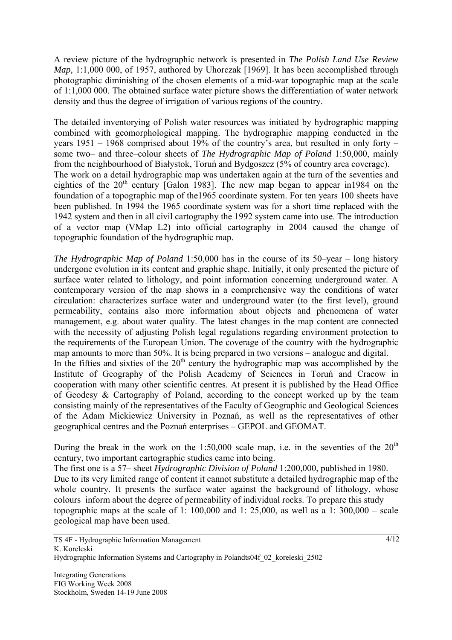A review picture of the hydrographic network is presented in *The Polish Land Use Review Map*, 1:1,000 000, of 1957, authored by Uhorczak [1969]. It has been accomplished through photographic diminishing of the chosen elements of a mid-war topographic map at the scale of 1:1,000 000. The obtained surface water picture shows the differentiation of water network density and thus the degree of irrigation of various regions of the country.

The detailed inventorying of Polish water resources was initiated by hydrographic mapping combined with geomorphological mapping. The hydrographic mapping conducted in the years 1951 – 1968 comprised about 19% of the country's area, but resulted in only forty – some two– and three–colour sheets of *The Hydrographic Map of Poland* 1:50,000, mainly from the neighbourhood of Białystok, Toruń and Bydgoszcz (5% of country area coverage). The work on a detail hydrographic map was undertaken again at the turn of the seventies and eighties of the  $20<sup>th</sup>$  century [Galon 1983]. The new map began to appear in1984 on the foundation of a topographic map of the1965 coordinate system. For ten years 100 sheets have been published. In 1994 the 1965 coordinate system was for a short time replaced with the 1942 system and then in all civil cartography the 1992 system came into use. The introduction of a vector map (VMap L2) into official cartography in 2004 caused the change of topographic foundation of the hydrographic map.

*The Hydrographic Map of Poland* 1:50,000 has in the course of its 50–year – long history undergone evolution in its content and graphic shape. Initially, it only presented the picture of surface water related to lithology, and point information concerning underground water. A contemporary version of the map shows in a comprehensive way the conditions of water circulation: characterizes surface water and underground water (to the first level), ground permeability, contains also more information about objects and phenomena of water management, e.g. about water quality. The latest changes in the map content are connected with the necessity of adjusting Polish legal regulations regarding environment protection to the requirements of the European Union. The coverage of the country with the hydrographic map amounts to more than 50%. It is being prepared in two versions – analogue and digital.

In the fifties and sixties of the  $20<sup>th</sup>$  century the hydrographic map was accomplished by the Institute of Geography of the Polish Academy of Sciences in Toruń and Cracow in cooperation with many other scientific centres. At present it is published by the Head Office of Geodesy & Cartography of Poland, according to the concept worked up by the team consisting mainly of the representatives of the Faculty of Geographic and Geological Sciences of the Adam Mickiewicz University in Poznań, as well as the representatives of other geographical centres and the Poznań enterprises – GEPOL and GEOMAT.

During the break in the work on the 1:50,000 scale map, i.e. in the seventies of the  $20<sup>th</sup>$ century, two important cartographic studies came into being.

The first one is a 57– sheet *Hydrographic Division of Poland* 1:200,000, published in 1980. Due to its very limited range of content it cannot substitute a detailed hydrographic map of the whole country. It presents the surface water against the background of lithology, whose colours inform about the degree of permeability of individual rocks. To prepare this study topographic maps at the scale of 1:  $100,000$  and 1:  $25,000$ , as well as a 1:  $300,000$  – scale geological map have been used.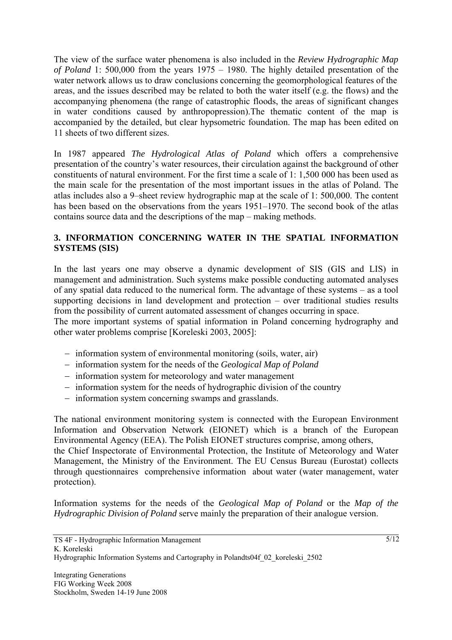The view of the surface water phenomena is also included in the *Review Hydrographic Map of Poland* 1: 500,000 from the years 1975 – 1980. The highly detailed presentation of the water network allows us to draw conclusions concerning the geomorphological features of the areas, and the issues described may be related to both the water itself (e.g. the flows) and the accompanying phenomena (the range of catastrophic floods, the areas of significant changes in water conditions caused by anthropopression).The thematic content of the map is accompanied by the detailed, but clear hypsometric foundation. The map has been edited on 11 sheets of two different sizes.

In 1987 appeared *The Hydrological Atlas of Poland* which offers a comprehensive presentation of the country's water resources, their circulation against the background of other constituents of natural environment. For the first time a scale of 1: 1,500 000 has been used as the main scale for the presentation of the most important issues in the atlas of Poland. The atlas includes also a 9–sheet review hydrographic map at the scale of 1: 500,000. The content has been based on the observations from the years 1951–1970. The second book of the atlas contains source data and the descriptions of the map – making methods.

## **3. INFORMATION CONCERNING WATER IN THE SPATIAL INFORMATION SYSTEMS (SIS)**

In the last years one may observe a dynamic development of SIS (GIS and LIS) in management and administration. Such systems make possible conducting automated analyses of any spatial data reduced to the numerical form. The advantage of these systems – as a tool supporting decisions in land development and protection – over traditional studies results from the possibility of current automated assessment of changes occurring in space.

The more important systems of spatial information in Poland concerning hydrography and other water problems comprise [Koreleski 2003, 2005]:

- − information system of environmental monitoring (soils, water, air)
- − information system for the needs of the *Geological Map of Poland*
- − information system for meteorology and water management
- − information system for the needs of hydrographic division of the country
- − information system concerning swamps and grasslands.

The national environment monitoring system is connected with the European Environment Information and Observation Network (EIONET) which is a branch of the European Environmental Agency (EEA). The Polish EIONET structures comprise, among others, the Chief Inspectorate of Environmental Protection, the Institute of Meteorology and Water Management, the Ministry of the Environment. The EU Census Bureau (Eurostat) collects through questionnaires comprehensive information about water (water management, water protection).

Information systems for the needs of the *Geological Map of Poland* or the *Map of the Hydrographic Division of Poland* serve mainly the preparation of their analogue version.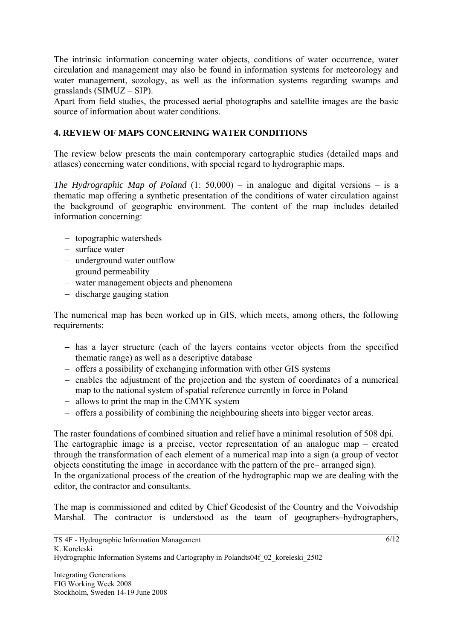The intrinsic information concerning water objects, conditions of water occurrence, water circulation and management may also be found in information systems for meteorology and water management, sozology, as well as the information systems regarding swamps and grasslands (SIMUZ – SIP).

Apart from field studies, the processed aerial photographs and satellite images are the basic source of information about water conditions.

## **4. REVIEW OF MAPS CONCERNING WATER CONDITIONS**

The review below presents the main contemporary cartographic studies (detailed maps and atlases) concerning water conditions, with special regard to hydrographic maps.

*The Hydrographic Map of Poland* (1: 50,000) – in analogue and digital versions – is a thematic map offering a synthetic presentation of the conditions of water circulation against the background of geographic environment. The content of the map includes detailed information concerning:

- − topographic watersheds
- − surface water
- − underground water outflow
- − ground permeability
- − water management objects and phenomena
- − discharge gauging station

The numerical map has been worked up in GIS, which meets, among others, the following requirements:

- − has a layer structure (each of the layers contains vector objects from the specified thematic range) as well as a descriptive database
- − offers a possibility of exchanging information with other GIS systems
- − enables the adjustment of the projection and the system of coordinates of a numerical map to the national system of spatial reference currently in force in Poland
- − allows to print the map in the CMYK system
- − offers a possibility of combining the neighbouring sheets into bigger vector areas.

The raster foundations of combined situation and relief have a minimal resolution of 508 dpi. The cartographic image is a precise, vector representation of an analogue map – created through the transformation of each element of a numerical map into a sign (a group of vector objects constituting the image in accordance with the pattern of the pre– arranged sign). In the organizational process of the creation of the hydrographic map we are dealing with the editor, the contractor and consultants.

The map is commissioned and edited by Chief Geodesist of the Country and the Voivodship Marshal. The contractor is understood as the team of geographers–hydrographers,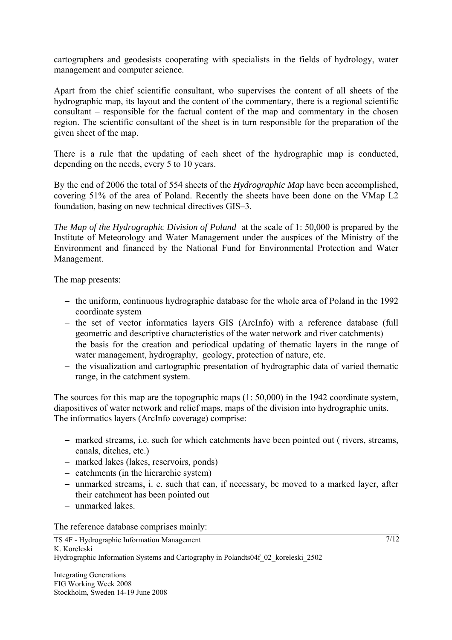cartographers and geodesists cooperating with specialists in the fields of hydrology, water management and computer science.

Apart from the chief scientific consultant, who supervises the content of all sheets of the hydrographic map, its layout and the content of the commentary, there is a regional scientific consultant – responsible for the factual content of the map and commentary in the chosen region. The scientific consultant of the sheet is in turn responsible for the preparation of the given sheet of the map.

There is a rule that the updating of each sheet of the hydrographic map is conducted, depending on the needs, every 5 to 10 years.

By the end of 2006 the total of 554 sheets of the *Hydrographic Map* have been accomplished, covering 51% of the area of Poland. Recently the sheets have been done on the VMap L2 foundation, basing on new technical directives GIS–3.

*The Map of the Hydrographic Division of Poland* at the scale of 1: 50,000 is prepared by the Institute of Meteorology and Water Management under the auspices of the Ministry of the Environment and financed by the National Fund for Environmental Protection and Water Management.

The map presents:

- − the uniform, continuous hydrographic database for the whole area of Poland in the 1992 coordinate system
- − the set of vector informatics layers GIS (ArcInfo) with a reference database (full geometric and descriptive characteristics of the water network and river catchments)
- − the basis for the creation and periodical updating of thematic layers in the range of water management, hydrography, geology, protection of nature, etc.
- − the visualization and cartographic presentation of hydrographic data of varied thematic range, in the catchment system.

The sources for this map are the topographic maps (1: 50,000) in the 1942 coordinate system, diapositives of water network and relief maps, maps of the division into hydrographic units. The informatics layers (ArcInfo coverage) comprise:

- − marked streams, i.e. such for which catchments have been pointed out ( rivers, streams, canals, ditches, etc.)
- − marked lakes (lakes, reservoirs, ponds)
- − catchments (in the hierarchic system)
- − unmarked streams, i. e. such that can, if necessary, be moved to a marked layer, after their catchment has been pointed out
- − unmarked lakes.

The reference database comprises mainly:

 $7/12$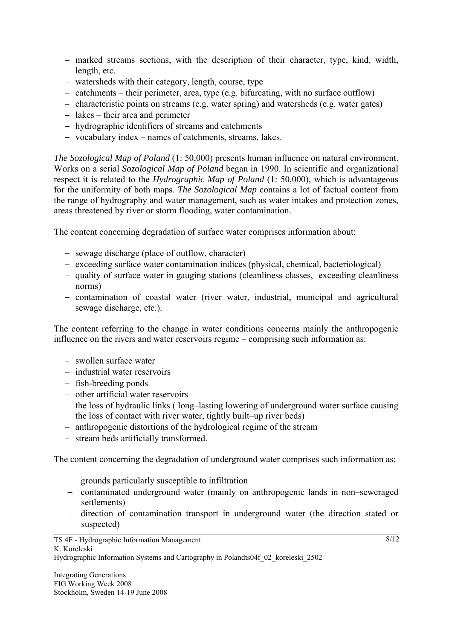- − marked streams sections, with the description of their character, type, kind, width, length, etc.
- − watersheds with their category, length, course, type
- − catchments their perimeter, area, type (e.g. bifurcating, with no surface outflow)
- − characteristic points on streams (e.g. water spring) and watersheds (e.g. water gates)
- − lakes their area and perimeter
- − hydrographic identifiers of streams and catchments
- − vocabulary index names of catchments, streams, lakes.

*The Sozological Map of Poland* (1: 50,000) presents human influence on natural environment. Works on a serial *Sozological Map of Poland* began in 1990. In scientific and organizational respect it is related to the *Hydrographic Map of Poland* (1: 50,000), which is advantageous for the uniformity of both maps. *The Sozological Map* contains a lot of factual content from the range of hydrography and water management, such as water intakes and protection zones, areas threatened by river or storm flooding, water contamination.

The content concerning degradation of surface water comprises information about:

- − sewage discharge (place of outflow, character)
- − exceeding surface water contamination indices (physical, chemical, bacteriological)
- − quality of surface water in gauging stations (cleanliness classes, exceeding cleanliness norms)
- − contamination of coastal water (river water, industrial, municipal and agricultural sewage discharge, etc.).

The content referring to the change in water conditions concerns mainly the anthropogenic influence on the rivers and water reservoirs regime – comprising such information as:

- − swollen surface water
- − industrial water reservoirs
- − fish-breeding ponds
- − other artificial water reservoirs
- − the loss of hydraulic links ( long–lasting lowering of underground water surface causing the loss of contact with river water, tightly built–up river beds)
- − anthropogenic distortions of the hydrological regime of the stream
- − stream beds artificially transformed.

The content concerning the degradation of underground water comprises such information as:

- − grounds particularly susceptible to infiltration
- − contaminated underground water (mainly on anthropogenic lands in non–seweraged settlements)
- − direction of contamination transport in underground water (the direction stated or suspected)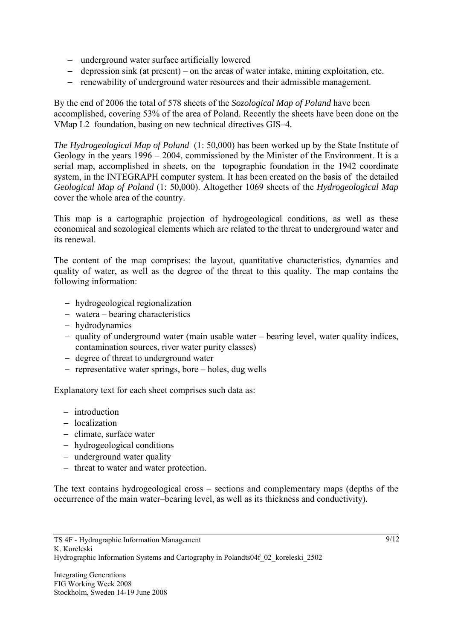- − underground water surface artificially lowered
- − depression sink (at present) on the areas of water intake, mining exploitation, etc.
- − renewability of underground water resources and their admissible management.

By the end of 2006 the total of 578 sheets of the *Sozological Map of Poland* have been accomplished, covering 53% of the area of Poland. Recently the sheets have been done on the VMap L2 foundation, basing on new technical directives GIS–4.

*The Hydrogeological Map of Poland* (1: 50,000) has been worked up by the State Institute of Geology in the years 1996 – 2004, commissioned by the Minister of the Environment. It is a serial map, accomplished in sheets, on the topographic foundation in the 1942 coordinate system, in the INTEGRAPH computer system. It has been created on the basis of the detailed *Geological Map of Poland* (1: 50,000). Altogether 1069 sheets of the *Hydrogeological Map* cover the whole area of the country.

This map is a cartographic projection of hydrogeological conditions, as well as these economical and sozological elements which are related to the threat to underground water and its renewal.

The content of the map comprises: the layout, quantitative characteristics, dynamics and quality of water, as well as the degree of the threat to this quality. The map contains the following information:

- − hydrogeological regionalization
- − watera bearing characteristics
- − hydrodynamics
- − quality of underground water (main usable water bearing level, water quality indices, contamination sources, river water purity classes)
- − degree of threat to underground water
- − representative water springs, bore holes, dug wells

Explanatory text for each sheet comprises such data as:

- − introduction
- − localization
- − climate, surface water
- − hydrogeological conditions
- − underground water quality
- − threat to water and water protection.

The text contains hydrogeological cross – sections and complementary maps (depths of the occurrence of the main water–bearing level, as well as its thickness and conductivity).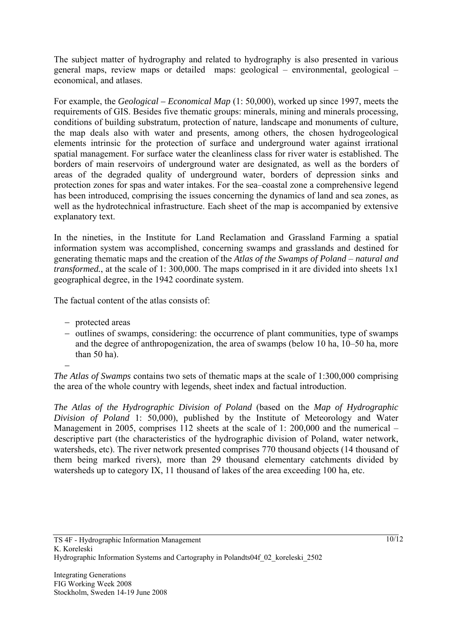The subject matter of hydrography and related to hydrography is also presented in various general maps, review maps or detailed maps: geological – environmental, geological – economical, and atlases.

For example, the *Geological – Economical Map* (1: 50,000), worked up since 1997, meets the requirements of GIS. Besides five thematic groups: minerals, mining and minerals processing, conditions of building substratum, protection of nature, landscape and monuments of culture, the map deals also with water and presents, among others, the chosen hydrogeological elements intrinsic for the protection of surface and underground water against irrational spatial management. For surface water the cleanliness class for river water is established. The borders of main reservoirs of underground water are designated, as well as the borders of areas of the degraded quality of underground water, borders of depression sinks and protection zones for spas and water intakes. For the sea–coastal zone a comprehensive legend has been introduced, comprising the issues concerning the dynamics of land and sea zones, as well as the hydrotechnical infrastructure. Each sheet of the map is accompanied by extensive explanatory text.

In the nineties, in the Institute for Land Reclamation and Grassland Farming a spatial information system was accomplished, concerning swamps and grasslands and destined for generating thematic maps and the creation of the *Atlas of the Swamps of Poland* – *natural and transformed.*, at the scale of 1: 300,000. The maps comprised in it are divided into sheets 1x1 geographical degree, in the 1942 coordinate system.

The factual content of the atlas consists of:

- − protected areas
- − outlines of swamps, considering: the occurrence of plant communities, type of swamps and the degree of anthropogenization, the area of swamps (below 10 ha, 10–50 ha, more than 50 ha).

−

*The Atlas of Swamps* contains two sets of thematic maps at the scale of 1:300,000 comprising the area of the whole country with legends, sheet index and factual introduction.

*The Atlas of the Hydrographic Division of Poland* (based on the *Map of Hydrographic Division of Poland* 1: 50,000), published by the Institute of Meteorology and Water Management in 2005, comprises 112 sheets at the scale of 1: 200,000 and the numerical – descriptive part (the characteristics of the hydrographic division of Poland, water network, watersheds, etc). The river network presented comprises 770 thousand objects (14 thousand of them being marked rivers), more than 29 thousand elementary catchments divided by watersheds up to category IX, 11 thousand of lakes of the area exceeding 100 ha, etc.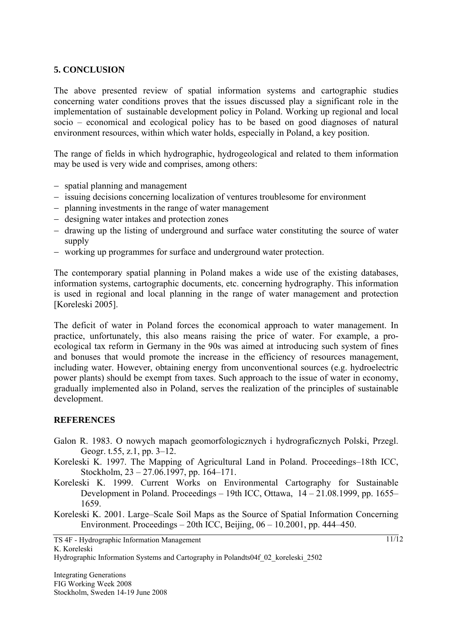#### **5. CONCLUSION**

The above presented review of spatial information systems and cartographic studies concerning water conditions proves that the issues discussed play a significant role in the implementation of sustainable development policy in Poland. Working up regional and local socio – economical and ecological policy has to be based on good diagnoses of natural environment resources, within which water holds, especially in Poland, a key position.

The range of fields in which hydrographic, hydrogeological and related to them information may be used is very wide and comprises, among others:

- − spatial planning and management
- − issuing decisions concerning localization of ventures troublesome for environment
- − planning investments in the range of water management
- − designing water intakes and protection zones
- − drawing up the listing of underground and surface water constituting the source of water supply
- − working up programmes for surface and underground water protection.

The contemporary spatial planning in Poland makes a wide use of the existing databases, information systems, cartographic documents, etc. concerning hydrography. This information is used in regional and local planning in the range of water management and protection [Koreleski 2005].

The deficit of water in Poland forces the economical approach to water management. In practice, unfortunately, this also means raising the price of water. For example, a proecological tax reform in Germany in the 90s was aimed at introducing such system of fines and bonuses that would promote the increase in the efficiency of resources management, including water. However, obtaining energy from unconventional sources (e.g. hydroelectric power plants) should be exempt from taxes. Such approach to the issue of water in economy, gradually implemented also in Poland, serves the realization of the principles of sustainable development.

#### **REFERENCES**

- Galon R. 1983. O nowych mapach geomorfologicznych i hydrograficznych Polski, Przegl. Geogr. t.55, z.1, pp. 3–12.
- Koreleski K. 1997. The Mapping of Agricultural Land in Poland. Proceedings–18th ICC, Stockholm, 23 – 27.06.1997, pp. 164–171.
- Koreleski K. 1999. Current Works on Environmental Cartography for Sustainable Development in Poland. Proceedings – 19th ICC, Ottawa, 14 – 21.08.1999, pp. 1655– 1659.

Koreleski K. 2001. Large–Scale Soil Maps as the Source of Spatial Information Concerning Environment. Proceedings – 20th ICC, Beijing,  $06 - 10.2001$ , pp. 444–450.